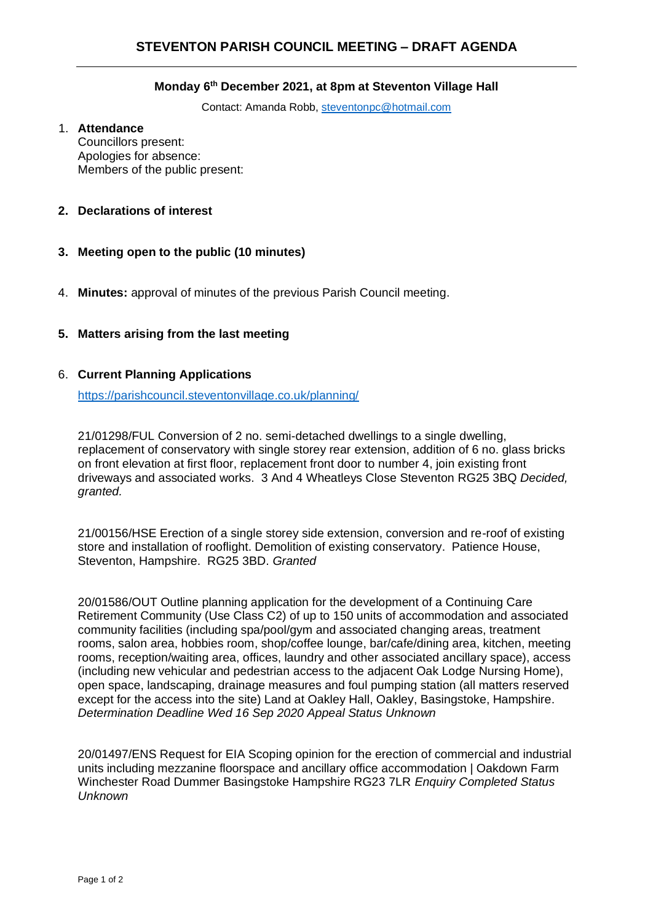#### **Monday 6 th December 2021, at 8pm at Steventon Village Hall**

Contact: Amanda Robb, [steventonpc@hotmail.com](mailto:steventonpc@hotmail.com)

#### 1. **Attendance**

Councillors present: Apologies for absence: Members of the public present:

# **2. Declarations of interest**

- **3. Meeting open to the public (10 minutes)**
- 4. **Minutes:** approval of minutes of the previous Parish Council meeting.

# **5. Matters arising from the last meeting**

## 6. **Current Planning Applications**

<https://parishcouncil.steventonvillage.co.uk/planning/>

21/01298/FUL Conversion of 2 no. semi-detached dwellings to a single dwelling, replacement of conservatory with single storey rear extension, addition of 6 no. glass bricks on front elevation at first floor, replacement front door to number 4, join existing front driveways and associated works. 3 And 4 Wheatleys Close Steventon RG25 3BQ *Decided, granted.*

21/00156/HSE Erection of a single storey side extension, conversion and re-roof of existing store and installation of rooflight. Demolition of existing conservatory. Patience House, Steventon, Hampshire. RG25 3BD. *Granted*

20/01586/OUT Outline planning application for the development of a Continuing Care Retirement Community (Use Class C2) of up to 150 units of accommodation and associated community facilities (including spa/pool/gym and associated changing areas, treatment rooms, salon area, hobbies room, shop/coffee lounge, bar/cafe/dining area, kitchen, meeting rooms, reception/waiting area, offices, laundry and other associated ancillary space), access (including new vehicular and pedestrian access to the adjacent Oak Lodge Nursing Home), open space, landscaping, drainage measures and foul pumping station (all matters reserved except for the access into the site) Land at Oakley Hall, Oakley, Basingstoke, Hampshire. *Determination Deadline Wed 16 Sep 2020 Appeal Status Unknown*

20/01497/ENS Request for EIA Scoping opinion for the erection of commercial and industrial units including mezzanine floorspace and ancillary office accommodation | Oakdown Farm Winchester Road Dummer Basingstoke Hampshire RG23 7LR *Enquiry Completed Status Unknown*